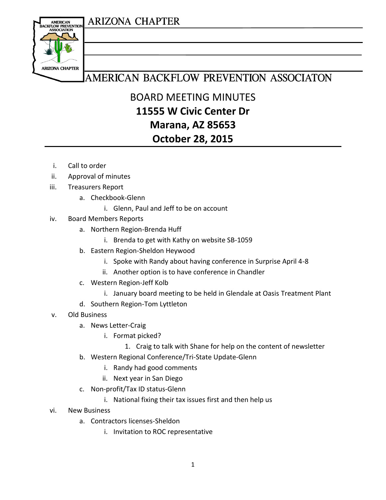## **ARIZONA CHAPTER**



## AMERICAN BACKFLOW PREVENTION ASSOCIATON

BOARD MEETING MINUTES **11555 W Civic Center Dr Marana, AZ 85653 October 28, 2015**

- i. Call to order
- ii. Approval of minutes
- iii. Treasurers Report
	- a. Checkbook-Glenn
		- i. Glenn, Paul and Jeff to be on account
- iv. Board Members Reports
	- a. Northern Region-Brenda Huff
		- i. Brenda to get with Kathy on website SB-1059
	- b. Eastern Region-Sheldon Heywood
		- i. Spoke with Randy about having conference in Surprise April 4-8
		- ii. Another option is to have conference in Chandler
	- c. Western Region-Jeff Kolb
		- i. January board meeting to be held in Glendale at Oasis Treatment Plant
	- d. Southern Region-Tom Lyttleton
- v. Old Business
	- a. News Letter-Craig
		- i. Format picked?
			- 1. Craig to talk with Shane for help on the content of newsletter
	- b. Western Regional Conference/Tri-State Update-Glenn
		- i. Randy had good comments
		- ii. Next year in San Diego
	- c. Non-profit/Tax ID status-Glenn
		- i. National fixing their tax issues first and then help us
- vi. New Business
	- a. Contractors licenses-Sheldon
		- i. Invitation to ROC representative